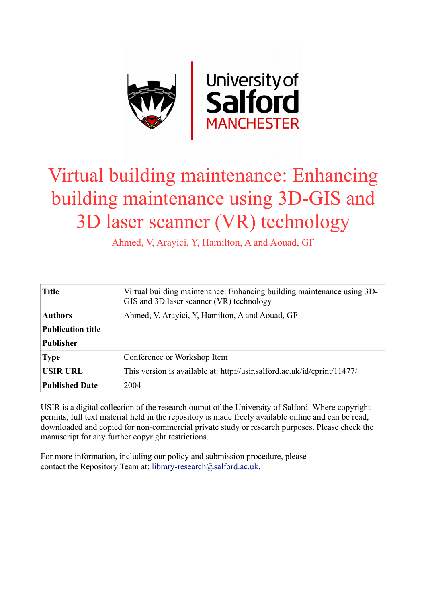

# Virtual building maintenance: Enhancing building maintenance using 3D-GIS and 3D laser scanner (VR) technology

Ahmed, V, Arayici, Y, Hamilton, A and Aouad, GF

| <b>Title</b>             | Virtual building maintenance: Enhancing building maintenance using 3D-<br>GIS and 3D laser scanner (VR) technology |
|--------------------------|--------------------------------------------------------------------------------------------------------------------|
| <b>Authors</b>           | Ahmed, V, Arayici, Y, Hamilton, A and Aouad, GF                                                                    |
| <b>Publication title</b> |                                                                                                                    |
| <b>Publisher</b>         |                                                                                                                    |
| <b>Type</b>              | Conference or Workshop Item                                                                                        |
| <b>USIR URL</b>          | This version is available at: http://usir.salford.ac.uk/id/eprint/11477/                                           |
| <b>Published Date</b>    | 2004                                                                                                               |

USIR is a digital collection of the research output of the University of Salford. Where copyright permits, full text material held in the repository is made freely available online and can be read, downloaded and copied for non-commercial private study or research purposes. Please check the manuscript for any further copyright restrictions.

For more information, including our policy and submission procedure, please contact the Repository Team at: [library-research@salford.ac.uk.](mailto:library-research@salford.ac.uk)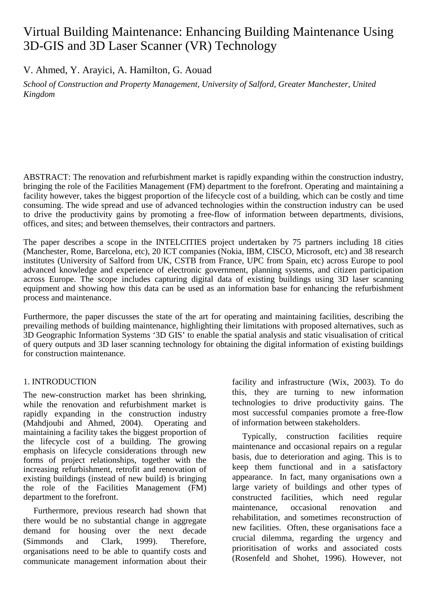## Virtual Building Maintenance: Enhancing Building Maintenance Using 3D-GIS and 3D Laser Scanner (VR) Technology

V. Ahmed, Y. Arayici, A. Hamilton, G. Aouad

*School of Construction and Property Management, University of Salford, Greater Manchester, United Kingdom*

ABSTRACT: The renovation and refurbishment market is rapidly expanding within the construction industry, bringing the role of the Facilities Management (FM) department to the forefront. Operating and maintaining a facility however, takes the biggest proportion of the lifecycle cost of a building, which can be costly and time consuming. The wide spread and use of advanced technologies within the construction industry can be used to drive the productivity gains by promoting a free-flow of information between departments, divisions, offices, and sites; and between themselves, their contractors and partners.

The paper describes a scope in the INTELCITIES project undertaken by 75 partners including 18 cities (Manchester, Rome, Barcelona, etc), 20 ICT companies (Nokia, IBM, CISCO, Microsoft, etc) and 38 research institutes (University of Salford from UK, CSTB from France, UPC from Spain, etc) across Europe to pool advanced knowledge and experience of electronic government, planning systems, and citizen participation across Europe. The scope includes capturing digital data of existing buildings using 3D laser scanning equipment and showing how this data can be used as an information base for enhancing the refurbishment process and maintenance.

Furthermore, the paper discusses the state of the art for operating and maintaining facilities, describing the prevailing methods of building maintenance, highlighting their limitations with proposed alternatives, such as 3D Geographic Information Systems '3D GIS' to enable the spatial analysis and static visualisation of critical of query outputs and 3D laser scanning technology for obtaining the digital information of existing buildings for construction maintenance.

#### 1. INTRODUCTION

The new-construction market has been shrinking, while the renovation and refurbishment market is rapidly expanding in the construction industry (Mahdjoubi and Ahmed, 2004). Operating and maintaining a facility takes the biggest proportion of the lifecycle cost of a building. The growing emphasis on lifecycle considerations through new forms of project relationships, together with the increasing refurbishment, retrofit and renovation of existing buildings (instead of new build) is bringing the role of the Facilities Management (FM) department to the forefront.

Furthermore, previous research had shown that there would be no substantial change in aggregate demand for housing over the next decade (Simmonds and Clark, 1999). Therefore, organisations need to be able to quantify costs and communicate management information about their

facility and infrastructure (Wix, 2003). To do this, they are turning to new information technologies to drive productivity gains. The most successful companies promote a free-flow of information between stakeholders.

Typically, construction facilities require maintenance and occasional repairs on a regular basis, due to deterioration and aging. This is to keep them functional and in a satisfactory appearance. In fact, many organisations own a large variety of buildings and other types of constructed facilities, which need regular maintenance, occasional renovation and rehabilitation, and sometimes reconstruction of new facilities. Often, these organisations face a crucial dilemma, regarding the urgency and prioritisation of works and associated costs (Rosenfeld and Shohet, 1996). However, not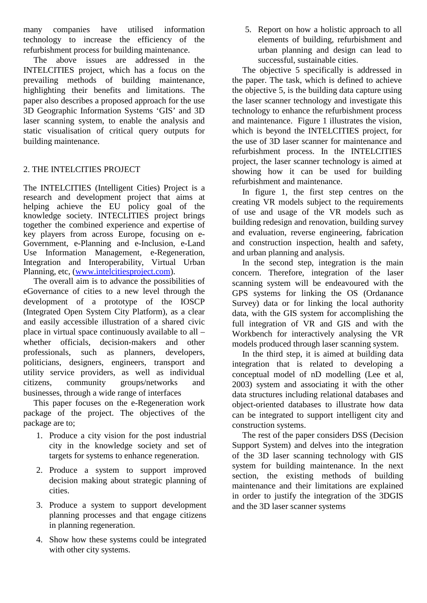many companies have utilised information technology to increase the efficiency of the refurbishment process for building maintenance.

The above issues are addressed in the INTELCITIES project, which has a focus on the prevailing methods of building maintenance, highlighting their benefits and limitations. The paper also describes a proposed approach for the use 3D Geographic Information Systems 'GIS' and 3D laser scanning system, to enable the analysis and static visualisation of critical query outputs for building maintenance.

### 2. THE INTELCITIES PROJECT

The INTELCITIES (Intelligent Cities) Project is a research and development project that aims at helping achieve the EU policy goal of the knowledge society. INTECLITIES project brings together the combined experience and expertise of key players from across Europe, focusing on e-Government, e-Planning and e-Inclusion, e-Land Use Information Management, e-Regeneration, Integration and Interoperability, Virtual Urban Planning, etc, [\(www.intelcitiesproject.com\)](http://www.intelcitiesproject.com/).

The overall aim is to advance the possibilities of eGovernance of cities to a new level through the development of a prototype of the IOSCP (Integrated Open System City Platform), as a clear and easily accessible illustration of a shared civic place in virtual space continuously available to all – whether officials, decision-makers and other professionals, such as planners, developers, politicians, designers, engineers, transport and utility service providers, as well as individual citizens, community groups/networks and businesses, through a wide range of interfaces

This paper focuses on the e-Regeneration work package of the project. The objectives of the package are to;

- 1. Produce a city vision for the post industrial city in the knowledge society and set of targets for systems to enhance regeneration.
- 2. Produce a system to support improved decision making about strategic planning of cities.
- 3. Produce a system to support development planning processes and that engage citizens in planning regeneration.
- 4. Show how these systems could be integrated with other city systems.

5. Report on how a holistic approach to all elements of building, refurbishment and urban planning and design can lead to successful, sustainable cities.

The objective 5 specifically is addressed in the paper. The task, which is defined to achieve the objective 5, is the building data capture using the laser scanner technology and investigate this technology to enhance the refurbishment process and maintenance. Figure 1 illustrates the vision, which is beyond the INTELCITIES project, for the use of 3D laser scanner for maintenance and refurbishment process. In the INTELCITIES project, the laser scanner technology is aimed at showing how it can be used for building refurbishment and maintenance.

In figure 1, the first step centres on the creating VR models subject to the requirements of use and usage of the VR models such as building redesign and renovation, building survey and evaluation, reverse engineering, fabrication and construction inspection, health and safety, and urban planning and analysis.

In the second step, integration is the main concern. Therefore, integration of the laser scanning system will be endeavoured with the GPS systems for linking the OS (Ordanance Survey) data or for linking the local authority data, with the GIS system for accomplishing the full integration of VR and GIS and with the Workbench for interactively analysing the VR models produced through laser scanning system.

In the third step, it is aimed at building data integration that is related to developing a conceptual model of nD modelling (Lee et al, 2003) system and associating it with the other data structures including relational databases and object-oriented databases to illustrate how data can be integrated to support intelligent city and construction systems.

The rest of the paper considers DSS (Decision Support System) and delves into the integration of the 3D laser scanning technology with GIS system for building maintenance. In the next section, the existing methods of building maintenance and their limitations are explained in order to justify the integration of the 3DGIS and the 3D laser scanner systems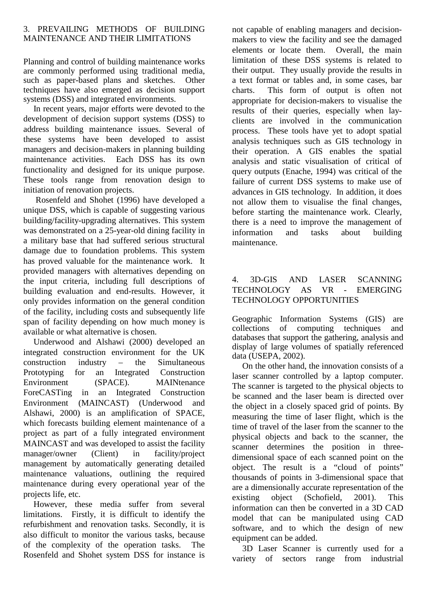#### 3. PREVAILING METHODS OF BUILDING MAINTENANCE AND THEIR LIMITATIONS

Planning and control of building maintenance works are commonly performed using traditional media, such as paper-based plans and sketches. Other techniques have also emerged as decision support systems (DSS) and integrated environments.

In recent years, major efforts were devoted to the development of decision support systems (DSS) to address building maintenance issues. Several of these systems have been developed to assist managers and decision-makers in planning building maintenance activities. Each DSS has its own functionality and designed for its unique purpose. These tools range from renovation design to initiation of renovation projects.

Rosenfeld and Shohet (1996) have developed a unique DSS, which is capable of suggesting various building/facility-upgrading alternatives. This system was demonstrated on a 25-year-old dining facility in a military base that had suffered serious structural damage due to foundation problems. This system has proved valuable for the maintenance work. It provided managers with alternatives depending on the input criteria, including full descriptions of building evaluation and end-results. However, it only provides information on the general condition of the facility, including costs and subsequently life span of facility depending on how much money is available or what alternative is chosen.

Underwood and Alshawi (2000) developed an integrated construction environment for the UK construction industry – the Simultaneous Prototyping for an Integrated Construction Environment (SPACE). MAINtenance ForeCASTing in an Integrated Construction Environment (MAINCAST) (Underwood and Alshawi, 2000) is an amplification of SPACE, which forecasts building element maintenance of a project as part of a fully integrated environment MAINCAST and was developed to assist the facility manager/owner (Client) in facility/project management by automatically generating detailed maintenance valuations, outlining the required maintenance during every operational year of the projects life, etc.

However, these media suffer from several limitations. Firstly, it is difficult to identify the refurbishment and renovation tasks. Secondly, it is also difficult to monitor the various tasks, because of the complexity of the operation tasks. The Rosenfeld and Shohet system DSS for instance is not capable of enabling managers and decisionmakers to view the facility and see the damaged<br>elements or locate them. Overall, the main elements or locate them. limitation of these DSS systems is related to their output. They usually provide the results in a text format or tables and, in some cases, bar charts. This form of output is often not appropriate for decision-makers to visualise the results of their queries, especially when layclients are involved in the communication process. These tools have yet to adopt spatial analysis techniques such as GIS technology in their operation. A GIS enables the spatial analysis and static visualisation of critical of query outputs (Enache, 1994) was critical of the failure of current DSS systems to make use of advances in GIS technology. In addition, it does not allow them to visualise the final changes, before starting the maintenance work. Clearly, there is a need to improve the management of information and tasks about building maintenance.

#### 4. 3D-GIS AND LASER SCANNING TECHNOLOGY AS VR - EMERGING TECHNOLOGY OPPORTUNITIES

Geographic Information Systems (GIS) are collections of computing techniques and databases that support the gathering, analysis and display of large volumes of spatially referenced data (USEPA, 2002).

On the other hand, the innovation consists of a laser scanner controlled by a laptop computer. The scanner is targeted to the physical objects to be scanned and the laser beam is directed over the object in a closely spaced grid of points. By measuring the time of laser flight, which is the time of travel of the laser from the scanner to the physical objects and back to the scanner, the scanner determines the position in threedimensional space of each scanned point on the object. The result is a "cloud of points" thousands of points in 3-dimensional space that are a dimensionally accurate representation of the existing object (Schofield, 2001). This information can then be converted in a 3D CAD model that can be manipulated using CAD software, and to which the design of new equipment can be added.

3D Laser Scanner is currently used for a variety of sectors range from industrial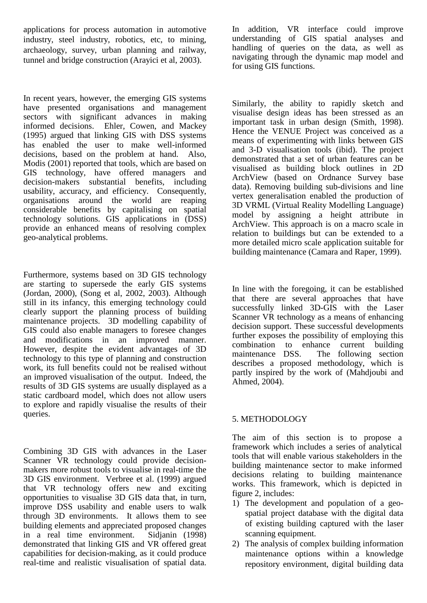applications for process automation in automotive industry, steel industry, robotics, etc, to mining, archaeology, survey, urban planning and railway, tunnel and bridge construction (Arayici et al, 2003).

In recent years, however, the emerging GIS systems have presented organisations and management sectors with significant advances in making informed decisions. Ehler, Cowen, and Mackey (1995) argued that linking GIS with DSS systems has enabled the user to make well-informed decisions, based on the problem at hand. Also, Modis (2001) reported that tools, which are based on GIS technology, have offered managers and decision-makers substantial benefits, including usability, accuracy, and efficiency. Consequently, organisations around the world are reaping considerable benefits by capitalising on spatial technology solutions. GIS applications in (DSS) provide an enhanced means of resolving complex geo-analytical problems.

Furthermore, systems based on 3D GIS technology are starting to supersede the early GIS systems (Jordan, 2000), (Song et al, 2002, 2003). Although still in its infancy, this emerging technology could clearly support the planning process of building maintenance projects. 3D modelling capability of GIS could also enable managers to foresee changes and modifications in an improved manner. However, despite the evident advantages of 3D technology to this type of planning and construction work, its full benefits could not be realised without an improved visualisation of the output. Indeed, the results of 3D GIS systems are usually displayed as a static cardboard model, which does not allow users to explore and rapidly visualise the results of their queries.

Combining 3D GIS with advances in the Laser Scanner VR technology could provide decisionmakers more robust tools to visualise in real-time the 3D GIS environment. Verbree et al. (1999) argued that VR technology offers new and exciting opportunities to visualise 3D GIS data that, in turn, improve DSS usability and enable users to walk through 3D environments. It allows them to see building elements and appreciated proposed changes in a real time environment. Sidjanin (1998) demonstrated that linking GIS and VR offered great capabilities for decision-making, as it could produce real-time and realistic visualisation of spatial data.

In addition, VR interface could improve understanding of GIS spatial analyses and handling of queries on the data, as well as navigating through the dynamic map model and for using GIS functions.

Similarly, the ability to rapidly sketch and visualise design ideas has been stressed as an important task in urban design (Smith, 1998). Hence the VENUE Project was conceived as a means of experimenting with links between GIS and 3-D visualisation tools (ibid). The project demonstrated that a set of urban features can be visualised as building block outlines in 2D ArchView (based on Ordnance Survey base data). Removing building sub-divisions and line vertex generalisation enabled the production of 3D VRML (Virtual Reality Modelling Language) model by assigning a height attribute in ArchView. This approach is on a macro scale in relation to buildings but can be extended to a more detailed micro scale application suitable for building maintenance (Camara and Raper, 1999).

In line with the foregoing, it can be established that there are several approaches that have successfully linked 3D-GIS with the Laser Scanner VR technology as a means of enhancing decision support. These successful developments further exposes the possibility of employing this combination to enhance current building<br>maintenance DSS. The following section The following section describes a proposed methodology, which is partly inspired by the work of (Mahdjoubi and Ahmed, 2004).

#### 5. METHODOLOGY

The aim of this section is to propose a framework which includes a series of analytical tools that will enable various stakeholders in the building maintenance sector to make informed decisions relating to building maintenance works. This framework, which is depicted in figure 2, includes:

- 1) The development and population of a geospatial project database with the digital data of existing building captured with the laser scanning equipment.
- 2) The analysis of complex building information maintenance options within a knowledge repository environment, digital building data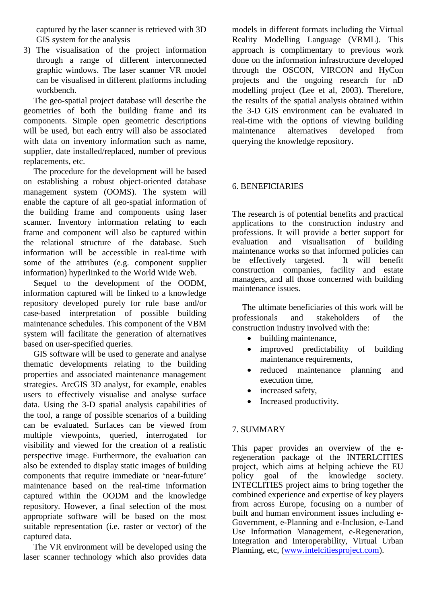captured by the laser scanner is retrieved with 3D GIS system for the analysis

3) The visualisation of the project information through a range of different interconnected graphic windows. The laser scanner VR model can be visualised in different platforms including workbench.

The geo-spatial project database will describe the geometries of both the building frame and its components. Simple open geometric descriptions will be used, but each entry will also be associated with data on inventory information such as name, supplier, date installed/replaced, number of previous replacements, etc.

The procedure for the development will be based on establishing a robust object-oriented database management system (OOMS). The system will enable the capture of all geo-spatial information of the building frame and components using laser scanner. Inventory information relating to each frame and component will also be captured within the relational structure of the database. Such information will be accessible in real-time with some of the attributes (e.g. component supplier information) hyperlinked to the World Wide Web.

Sequel to the development of the OODM, information captured will be linked to a knowledge repository developed purely for rule base and/or case-based interpretation of possible building maintenance schedules. This component of the VBM system will facilitate the generation of alternatives based on user-specified queries.

GIS software will be used to generate and analyse thematic developments relating to the building properties and associated maintenance management strategies. ArcGIS 3D analyst, for example, enables users to effectively visualise and analyse surface data. Using the 3-D spatial analysis capabilities of the tool, a range of possible scenarios of a building can be evaluated. Surfaces can be viewed from multiple viewpoints, queried, interrogated for visibility and viewed for the creation of a realistic perspective image. Furthermore, the evaluation can also be extended to display static images of building components that require immediate or 'near-future' maintenance based on the real-time information captured within the OODM and the knowledge repository. However, a final selection of the most appropriate software will be based on the most suitable representation (i.e. raster or vector) of the captured data.

The VR environment will be developed using the laser scanner technology which also provides data models in different formats including the Virtual Reality Modelling Language (VRML). This approach is complimentary to previous work done on the information infrastructure developed through the OSCON, VIRCON and HyCon projects and the ongoing research for nD modelling project (Lee et al, 2003). Therefore, the results of the spatial analysis obtained within the 3-D GIS environment can be evaluated in real-time with the options of viewing building<br>maintenance alternatives developed from alternatives developed from querying the knowledge repository.

#### 6. BENEFICIARIES

The research is of potential benefits and practical applications to the construction industry and professions. It will provide a better support for evaluation and visualisation of building visualisation maintenance works so that informed policies can<br>be effectively targeted. It will benefit be effectively targeted. construction companies, facility and estate managers, and all those concerned with building maintenance issues.

The ultimate beneficiaries of this work will be professionals and stakeholders of the construction industry involved with the:

- building maintenance,
- improved predictability of building maintenance requirements,
- reduced maintenance planning and execution time,
- increased safety,
- Increased productivity.

#### 7. SUMMARY

This paper provides an overview of the eregeneration package of the INTERLCITIES project, which aims at helping achieve the EU policy goal of the knowledge society. policy goal of the knowledge society. INTECLITIES project aims to bring together the combined experience and expertise of key players from across Europe, focusing on a number of built and human environment issues including e-Government, e-Planning and e-Inclusion, e-Land Use Information Management, e-Regeneration, Integration and Interoperability, Virtual Urban Planning, etc, [\(www.intelcitiesproject.com\)](http://www.intelcitiesproject.com/).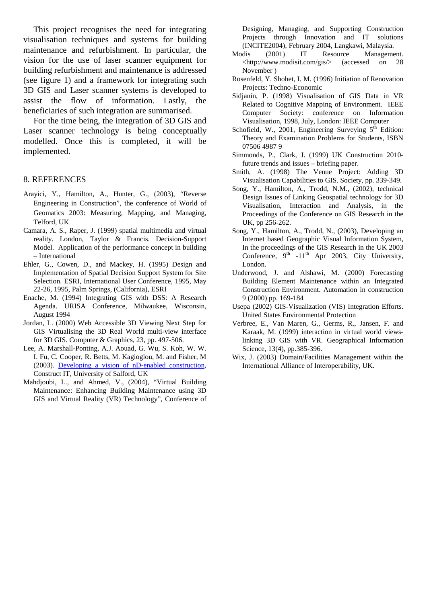This project recognises the need for integrating visualisation techniques and systems for building maintenance and refurbishment. In particular, the vision for the use of laser scanner equipment for building refurbishment and maintenance is addressed (see figure 1) and a framework for integrating such 3D GIS and Laser scanner systems is developed to assist the flow of information. Lastly, the beneficiaries of such integration are summarised.

For the time being, the integration of 3D GIS and Laser scanner technology is being conceptually modelled. Once this is completed, it will be implemented.

#### 8. REFERENCES

- Arayici, Y., Hamilton, A., Hunter, G., (2003), "Reverse Engineering in Construction", the conference of World of Geomatics 2003: Measuring, Mapping, and Managing, Telford, UK
- Camara, A. S., Raper, J. (1999) spatial multimedia and virtual reality. London, Taylor & Francis. Decision-Support Model. Application of the performance concept in building – International
- Ehler, G., Cowen, D., and Mackey, H. (1995) Design and Implementation of Spatial Decision Support System for Site Selection. ESRI, International User Conference, 1995, May 22-26, 1995, Palm Springs, (California), ESRI
- Enache, M. (1994) Integrating GIS with DSS: A Research Agenda. URISA Conference, Milwaukee, Wisconsin, August 1994
- Jordan, L. (2000) Web Accessible 3D Viewing Next Step for GIS Virtualising the 3D Real World multi-view interface for 3D GIS. Computer & Graphics, 23, pp. 497-506.
- Lee, A. Marshall-Ponting, A.J. Aouad, G. Wu, S. Koh, W. W. I. Fu, C. Cooper, R. Betts, M. Kagioglou, M. and Fisher, M (2003). [Developing a vision of nD-enabled construction,](http://ndmodelling.scpm.salford.ac.uk/Doc/nDworkshop_report.zip)  Construct IT, University of Salford, UK
- Mahdjoubi, L., and Ahmed, V., (2004), "Virtual Building Maintenance: Enhancing Building Maintenance using 3D GIS and Virtual Reality (VR) Technology", Conference of

Designing, Managing, and Supporting Construction Projects through Innovation and IT solutions (INCITE2004), February 2004, Langkawi, Malaysia.

- Modis (2001) IT Resource Management. [<http://www.modisit.com/gis/>](http://www.modisit.com/gis/) (accessed on 28 November )
- Rosenfeld, Y. Shohet, I. M. (1996) Initiation of Renovation Projects: Techno-Economic
- Sidjanin, P. (1998) Visualisation of GIS Data in VR Related to Cognitive Mapping of Environment. IEEE Computer Society: conference on Information Visualisation, 1998, July, London: IEEE Computer
- Schofield, W., 2001, Engineering Surveying  $5<sup>th</sup>$  Edition: Theory and Examination Problems for Students, ISBN 07506 4987 9
- Simmonds, P., Clark, J. (1999) UK Construction 2010 future trends and issues – briefing paper.
- Smith, A. (1998) The Venue Project: Adding 3D Visualisation Capabilities to GIS. Society, pp. 339-349.
- Song, Y., Hamilton, A., Trodd, N.M., (2002), technical Design Issues of Linking Geospatial technology for 3D Visualisation, Interaction and Analysis, in the Proceedings of the Conference on GIS Research in the UK, pp 256-262.
- Song, Y., Hamilton, A., Trodd, N., (2003), Developing an Internet based Geographic Visual Information System, In the proceedings of the GIS Research in the UK 2003 Conference,  $9^{th}$  -11<sup>th</sup> Apr 2003, City University, London.
- Underwood, J. and Alshawi, M. (2000) Forecasting Building Element Maintenance within an Integrated Construction Environment. Automation in construction 9 (2000) pp. 169-184
- Usepa (2002) GIS-Visualization (VIS) Integration Efforts. United States Environmental Protection
- Verbree, E., Van Maren, G., Germs, R., Jansen, F. and Karaak, M. (1999) interaction in virtual world viewslinking 3D GIS with VR. Geographical Information Science, 13(4), pp.385-396.
- Wix, J. (2003) Domain/Facilities Management within the International Alliance of Interoperability, UK.